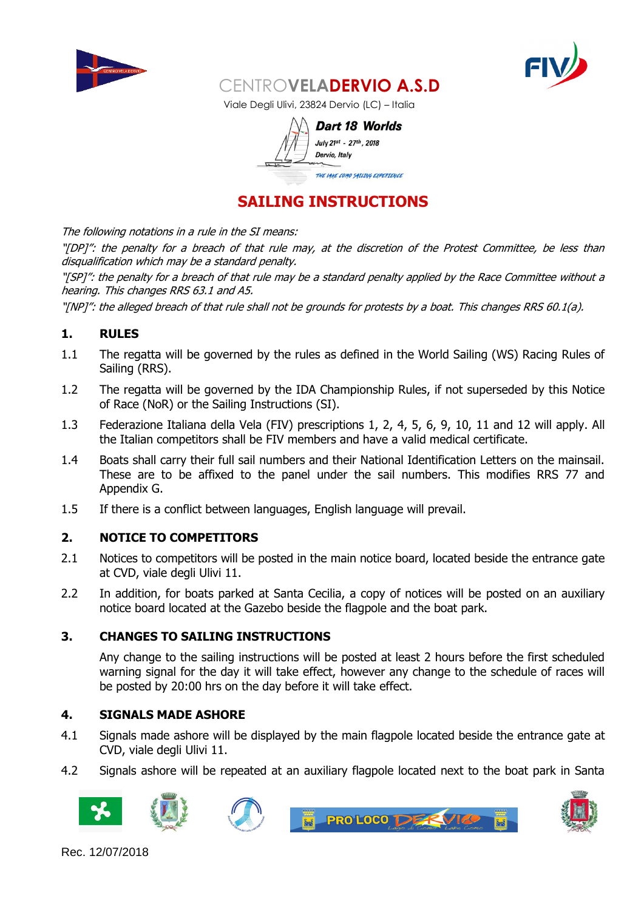



Viale Degli Ulivi, 23824 Dervio (LC) – Italia

| Dart 18 Worlds                   |  |
|----------------------------------|--|
| July 21st - 27th, 2018           |  |
| Dervio, Italy                    |  |
| THE LAKE COMO SAILING EXPERIENCE |  |

## **SAILING INSTRUCTIONS**

The following notations in a rule in the SI means:

"[DP]": the penalty for a breach of that rule may, at the discretion of the Protest Committee, be less than disqualification which may be a standard penalty.

"[SP]": the penalty for a breach of that rule may be a standard penalty applied by the Race Committee without a hearing. This changes RRS 63.1 and A5.

"[NP]": the alleged breach of that rule shall not be grounds for protests by a boat. This changes RRS 60.1(a).

## **1. RULES**

- 1.1 The regatta will be governed by the rules as defined in the World Sailing (WS) Racing Rules of Sailing (RRS).
- 1.2 The regatta will be governed by the IDA Championship Rules, if not superseded by this Notice of Race (NoR) or the Sailing Instructions (SI).
- 1.3 Federazione Italiana della Vela (FIV) prescriptions 1, 2, 4, 5, 6, 9, 10, 11 and 12 will apply. All the Italian competitors shall be FIV members and have a valid medical certificate.
- 1.4 Boats shall carry their full sail numbers and their National Identification Letters on the mainsail. These are to be affixed to the panel under the sail numbers. This modifies RRS 77 and Appendix G.
- 1.5 If there is a conflict between languages, English language will prevail.

## **2. NOTICE TO COMPETITORS**

- 2.1 Notices to competitors will be posted in the main notice board, located beside the entrance gate at CVD, viale degli Ulivi 11.
- 2.2 In addition, for boats parked at Santa Cecilia, a copy of notices will be posted on an auxiliary notice board located at the Gazebo beside the flagpole and the boat park.

#### **3. CHANGES TO SAILING INSTRUCTIONS**

Any change to the sailing instructions will be posted at least 2 hours before the first scheduled warning signal for the day it will take effect, however any change to the schedule of races will be posted by 20:00 hrs on the day before it will take effect.

#### **4. SIGNALS MADE ASHORE**

- 4.1 Signals made ashore will be displayed by the main flagpole located beside the entrance gate at CVD, viale degli Ulivi 11.
- 4.2 Signals ashore will be repeated at an auxiliary flagpole located next to the boat park in Santa









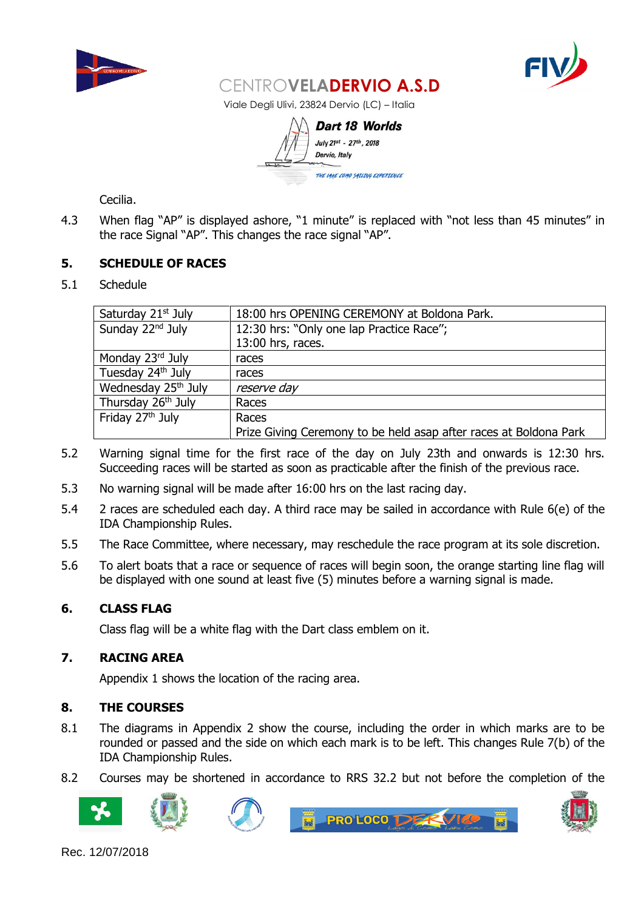



Viale Degli Ulivi, 23824 Dervio (LC) – Italia

Dart 18 Worlds July 21st - 27th, 2018 Dervio, Italy THE LAKE COMO SATLING EXPERTENCE

Cecilia.

4.3 When flag "AP" is displayed ashore, "1 minute" is replaced with "not less than 45 minutes" in the race Signal "AP". This changes the race signal "AP".

## **5. SCHEDULE OF RACES**

5.1 Schedule

| Saturday 21 <sup>st</sup> July  | 18:00 hrs OPENING CEREMONY at Boldona Park.                       |  |
|---------------------------------|-------------------------------------------------------------------|--|
| Sunday 22 <sup>nd</sup> July    | 12:30 hrs: "Only one lap Practice Race";                          |  |
|                                 | 13:00 hrs, races.                                                 |  |
| Monday 23rd July                | races                                                             |  |
| Tuesday 24th July               | races                                                             |  |
| Wednesday 25 <sup>th</sup> July | reserve day                                                       |  |
| Thursday 26 <sup>th</sup> July  | Races                                                             |  |
| Friday 27 <sup>th</sup> July    | Races                                                             |  |
|                                 | Prize Giving Ceremony to be held asap after races at Boldona Park |  |

- 5.2 Warning signal time for the first race of the day on July 23th and onwards is 12:30 hrs. Succeeding races will be started as soon as practicable after the finish of the previous race.
- 5.3 No warning signal will be made after 16:00 hrs on the last racing day.
- 5.4 2 races are scheduled each day. A third race may be sailed in accordance with Rule 6(e) of the IDA Championship Rules.
- 5.5 The Race Committee, where necessary, may reschedule the race program at its sole discretion.
- 5.6 To alert boats that a race or sequence of races will begin soon, the orange starting line flag will be displayed with one sound at least five (5) minutes before a warning signal is made.

## **6. CLASS FLAG**

Class flag will be a white flag with the Dart class emblem on it.

## **7. RACING AREA**

Appendix 1 shows the location of the racing area.

#### **8. THE COURSES**

- 8.1 The diagrams in Appendix 2 show the course, including the order in which marks are to be rounded or passed and the side on which each mark is to be left. This changes Rule 7(b) of the IDA Championship Rules.
- 8.2 Courses may be shortened in accordance to RRS 32.2 but not before the completion of the









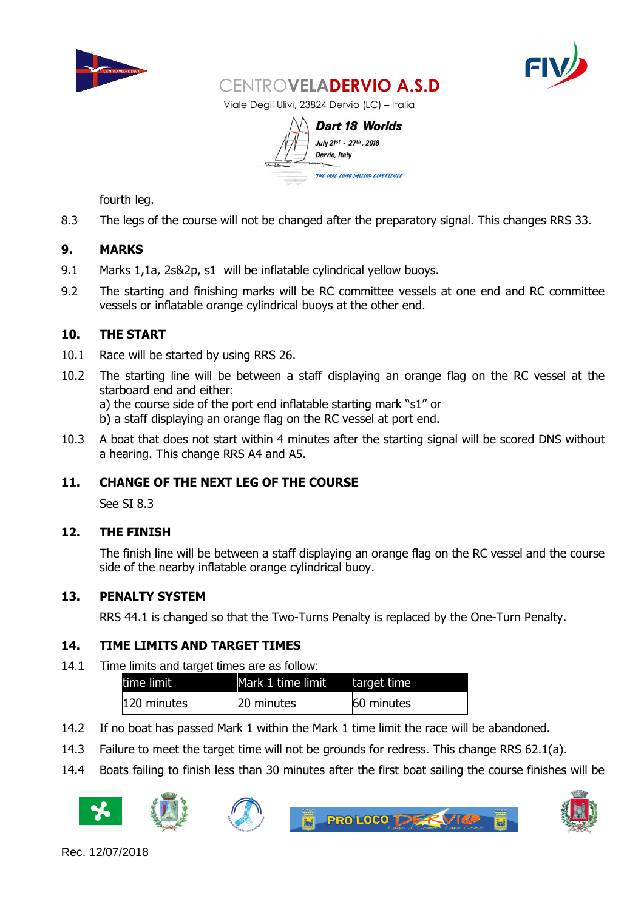



Viale Degli Ulivi, 23824 Dervio (LC) – Italia

**Dart 18 Worlds** July 21st - 27th, 2018 Dervio, Italy THE LAKE COMO SATLING EXPERTENCE

fourth leg.

8.3 The legs of the course will not be changed after the preparatory signal. This changes RRS 33.

## **9. MARKS**

- 9.1 Marks 1,1a, 2s&2p, s1 will be inflatable cylindrical yellow buoys.
- 9.2 The starting and finishing marks will be RC committee vessels at one end and RC committee vessels or inflatable orange cylindrical buoys at the other end.

## **10. THE START**

- 10.1 Race will be started by using RRS 26.
- 10.2 The starting line will be between a staff displaying an orange flag on the RC vessel at the starboard end and either: a) the course side of the port end inflatable starting mark "s1" or b) a staff displaying an orange flag on the RC vessel at port end.
- 10.3 A boat that does not start within 4 minutes after the starting signal will be scored DNS without a hearing. This change RRS A4 and A5.

## **11. CHANGE OF THE NEXT LEG OF THE COURSE**

See SI 8.3

## **12. THE FINISH**

The finish line will be between a staff displaying an orange flag on the RC vessel and the course side of the nearby inflatable orange cylindrical buoy.

## **13. PENALTY SYSTEM**

RRS 44.1 is changed so that the Two-Turns Penalty is replaced by the One-Turn Penalty.

## **14. TIME LIMITS AND TARGET TIMES**

14.1 Time limits and target times are as follow:

| time limit  | Mark 1 time limit | target time |
|-------------|-------------------|-------------|
| 120 minutes | 20 minutes        | 60 minutes  |

- 14.2 If no boat has passed Mark 1 within the Mark 1 time limit the race will be abandoned.
- 14.3 Failure to meet the target time will not be grounds for redress. This change RRS 62.1(a).
- 14.4 Boats failing to finish less than 30 minutes after the first boat sailing the course finishes will be









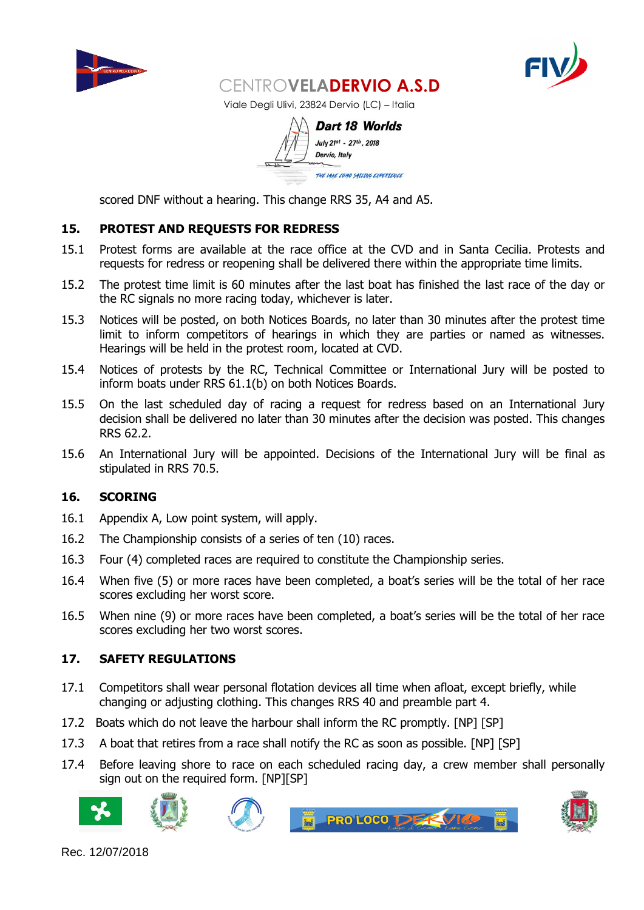



Viale Degli Ulivi, 23824 Dervio (LC) – Italia

**Dart 18 Worlds** July 21st - 27th, 2018 Dervio, Italy THE LAKE COMO SATLING EXPERIENCE

scored DNF without a hearing. This change RRS 35, A4 and A5.

## **15. PROTEST AND REQUESTS FOR REDRESS**

- 15.1 Protest forms are available at the race office at the CVD and in Santa Cecilia. Protests and requests for redress or reopening shall be delivered there within the appropriate time limits.
- 15.2 The protest time limit is 60 minutes after the last boat has finished the last race of the day or the RC signals no more racing today, whichever is later.
- 15.3 Notices will be posted, on both Notices Boards, no later than 30 minutes after the protest time limit to inform competitors of hearings in which they are parties or named as witnesses. Hearings will be held in the protest room, located at CVD.
- 15.4 Notices of protests by the RC, Technical Committee or International Jury will be posted to inform boats under RRS 61.1(b) on both Notices Boards.
- 15.5 On the last scheduled day of racing a request for redress based on an International Jury decision shall be delivered no later than 30 minutes after the decision was posted. This changes RRS 62.2.
- 15.6 An International Jury will be appointed. Decisions of the International Jury will be final as stipulated in RRS 70.5.

## **16. SCORING**

- 16.1 Appendix A, Low point system, will apply.
- 16.2 The Championship consists of a series of ten (10) races.
- 16.3 Four (4) completed races are required to constitute the Championship series.
- 16.4 When five (5) or more races have been completed, a boat's series will be the total of her race scores excluding her worst score.
- 16.5 When nine (9) or more races have been completed, a boat's series will be the total of her race scores excluding her two worst scores.

## **17. SAFETY REGULATIONS**

- 17.1 Competitors shall wear personal flotation devices all time when afloat, except briefly, while changing or adjusting clothing. This changes RRS 40 and preamble part 4.
- 17.2 Boats which do not leave the harbour shall inform the RC promptly. [NP] [SP]
- 17.3 A boat that retires from a race shall notify the RC as soon as possible. [NP] [SP]
- 17.4 Before leaving shore to race on each scheduled racing day, a crew member shall personally sign out on the required form. [NP][SP]









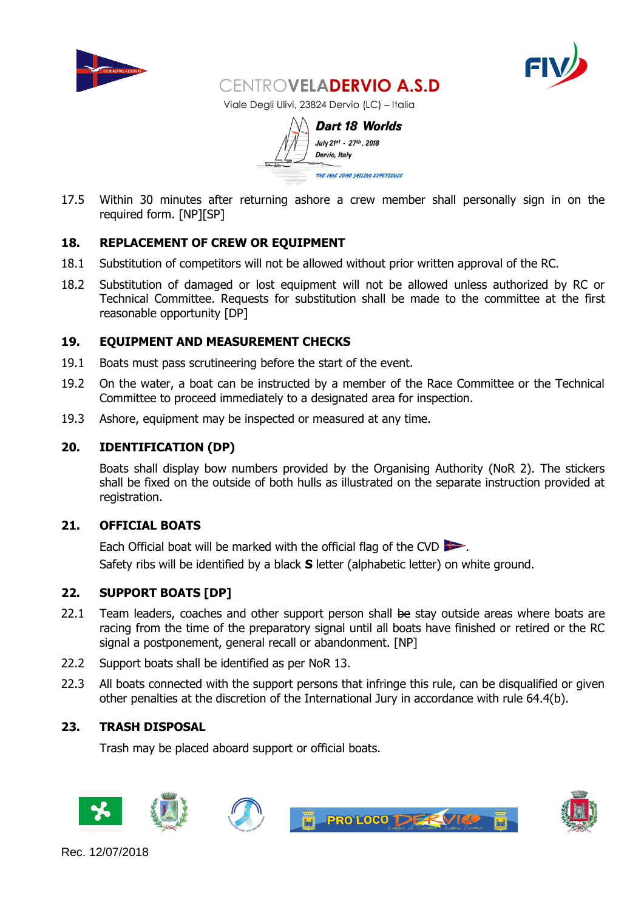



Viale Degli Ulivi, 23824 Dervio (LC) – Italia

**Dart 18 Worlds** July 21st - 27th, 2018 Dervio, Italy THE LAKE COMO SATLING EXPERIENCE

17.5 Within 30 minutes after returning ashore a crew member shall personally sign in on the required form. [NP][SP]

## **18. REPLACEMENT OF CREW OR EQUIPMENT**

- 18.1 Substitution of competitors will not be allowed without prior written approval of the RC.
- 18.2 Substitution of damaged or lost equipment will not be allowed unless authorized by RC or Technical Committee. Requests for substitution shall be made to the committee at the first reasonable opportunity [DP]

#### **19. EQUIPMENT AND MEASUREMENT CHECKS**

- 19.1 Boats must pass scrutineering before the start of the event.
- 19.2 On the water, a boat can be instructed by a member of the Race Committee or the Technical Committee to proceed immediately to a designated area for inspection.
- 19.3 Ashore, equipment may be inspected or measured at any time.

#### **20. IDENTIFICATION (DP)**

Boats shall display bow numbers provided by the Organising Authority (NoR 2). The stickers shall be fixed on the outside of both hulls as illustrated on the separate instruction provided at registration.

#### **21. OFFICIAL BOATS**

Each Official boat will be marked with the official flag of the CVD Safety ribs will be identified by a black **S** letter (alphabetic letter) on white ground.

#### **22. SUPPORT BOATS [DP]**

- 22.1 Team leaders, coaches and other support person shall be stay outside areas where boats are racing from the time of the preparatory signal until all boats have finished or retired or the RC signal a postponement, general recall or abandonment. [NP]
- 22.2 Support boats shall be identified as per NoR 13.
- 22.3 All boats connected with the support persons that infringe this rule, can be disqualified or given other penalties at the discretion of the International Jury in accordance with rule 64.4(b).

## **23. TRASH DISPOSAL**

Trash may be placed aboard support or official boats.

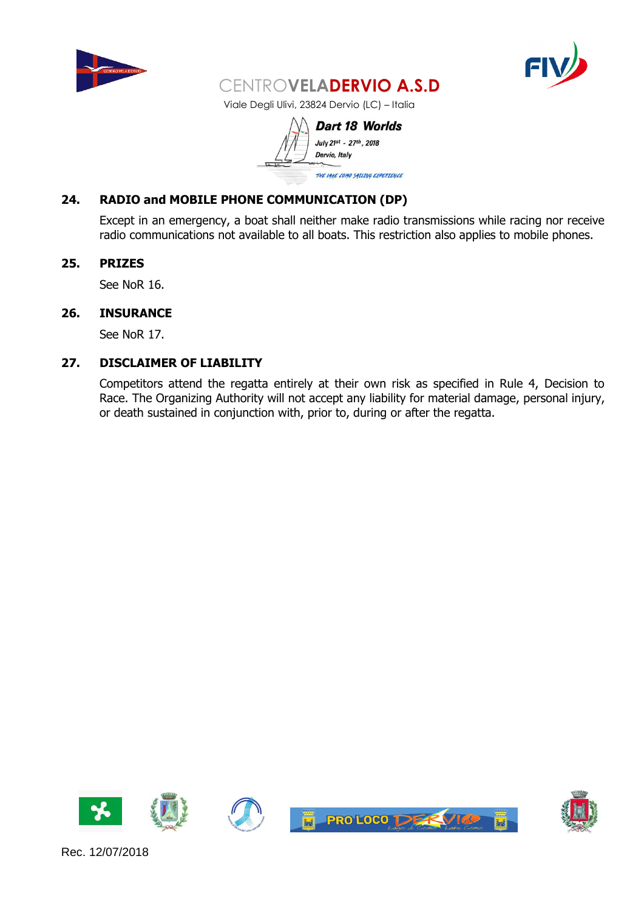



Viale Degli Ulivi, 23824 Dervio (LC) – Italia

**Dart 18 Worlds** July 21st - 27th, 2018 Dervio, Italy THE LAKE COMO SAILING EXPERIENCE

## **24. RADIO and MOBILE PHONE COMMUNICATION (DP)**

Except in an emergency, a boat shall neither make radio transmissions while racing nor receive radio communications not available to all boats. This restriction also applies to mobile phones.

#### **25. PRIZES**

See NoR 16.

#### **26. INSURANCE**

See NoR 17.

#### **27. DISCLAIMER OF LIABILITY**

Competitors attend the regatta entirely at their own risk as specified in Rule 4, Decision to Race. The Organizing Authority will not accept any liability for material damage, personal injury, or death sustained in conjunction with, prior to, during or after the regatta.







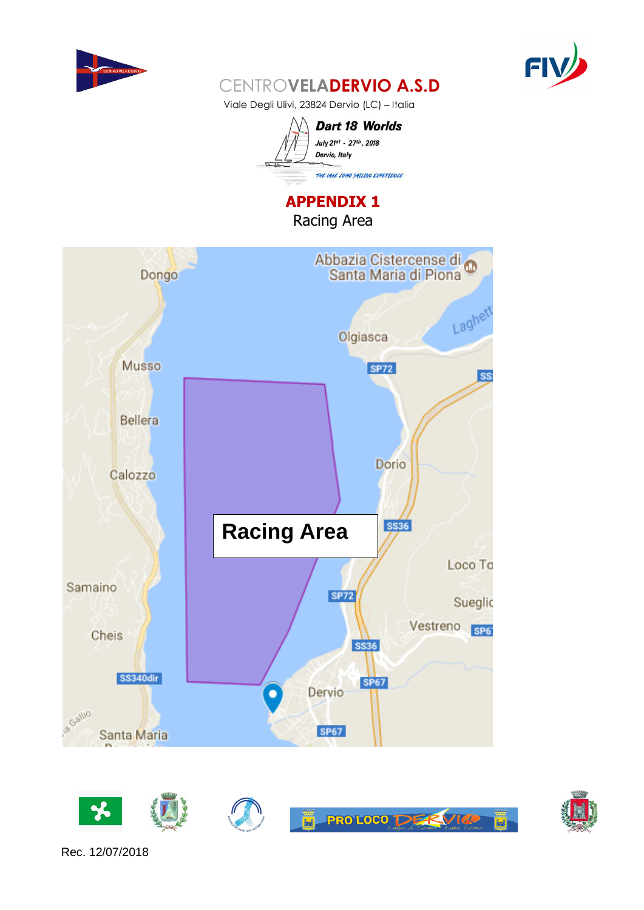



Viale Degli Ulivi, 23824 Dervio (LC) – Italia



**APPENDIX 1** Racing Area